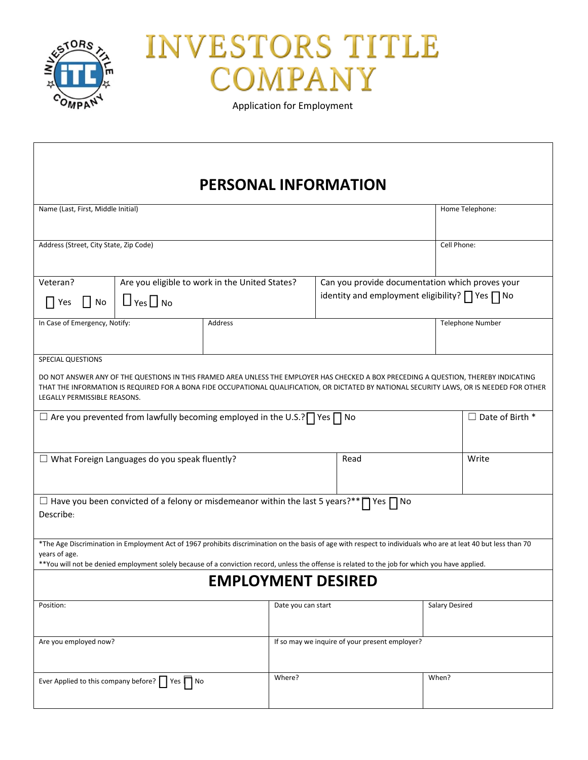



Application for Employment

## **PERSONAL INFORMATION**

| Name (Last, First, Middle Initial)                                                                                                                                |                                                                                                                            |  |                    |                                                                                                                                                                |                       | Home Telephone:          |  |
|-------------------------------------------------------------------------------------------------------------------------------------------------------------------|----------------------------------------------------------------------------------------------------------------------------|--|--------------------|----------------------------------------------------------------------------------------------------------------------------------------------------------------|-----------------------|--------------------------|--|
|                                                                                                                                                                   |                                                                                                                            |  |                    |                                                                                                                                                                |                       |                          |  |
| Address (Street, City State, Zip Code)                                                                                                                            |                                                                                                                            |  |                    |                                                                                                                                                                |                       |                          |  |
|                                                                                                                                                                   |                                                                                                                            |  |                    |                                                                                                                                                                |                       | Cell Phone:              |  |
|                                                                                                                                                                   |                                                                                                                            |  |                    |                                                                                                                                                                |                       |                          |  |
| Veteran?                                                                                                                                                          | Are you eligible to work in the United States?<br>Can you provide documentation which proves your                          |  |                    |                                                                                                                                                                |                       |                          |  |
| $\Box$ Yes $\Box$ No                                                                                                                                              | identity and employment eligibility? $\Box$ Yes $\Box$ No<br>$\Box$ Yes $\Box$ No                                          |  |                    |                                                                                                                                                                |                       |                          |  |
|                                                                                                                                                                   |                                                                                                                            |  |                    |                                                                                                                                                                |                       |                          |  |
| In Case of Emergency, Notify:                                                                                                                                     | Address                                                                                                                    |  |                    |                                                                                                                                                                |                       | <b>Telephone Number</b>  |  |
|                                                                                                                                                                   |                                                                                                                            |  |                    |                                                                                                                                                                |                       |                          |  |
|                                                                                                                                                                   |                                                                                                                            |  |                    |                                                                                                                                                                |                       |                          |  |
| SPECIAL QUESTIONS                                                                                                                                                 |                                                                                                                            |  |                    |                                                                                                                                                                |                       |                          |  |
|                                                                                                                                                                   |                                                                                                                            |  |                    | DO NOT ANSWER ANY OF THE QUESTIONS IN THIS FRAMED AREA UNLESS THE EMPLOYER HAS CHECKED A BOX PRECEDING A QUESTION, THEREBY INDICATING                          |                       |                          |  |
| LEGALLY PERMISSIBLE REASONS.                                                                                                                                      |                                                                                                                            |  |                    | THAT THE INFORMATION IS REQUIRED FOR A BONA FIDE OCCUPATIONAL QUALIFICATION, OR DICTATED BY NATIONAL SECURITY LAWS, OR IS NEEDED FOR OTHER                     |                       |                          |  |
|                                                                                                                                                                   |                                                                                                                            |  |                    |                                                                                                                                                                |                       |                          |  |
|                                                                                                                                                                   | $\Box$ Are you prevented from lawfully becoming employed in the U.S.? $\Box$ Yes $\Box$ No                                 |  |                    |                                                                                                                                                                |                       | $\Box$ Date of Birth $*$ |  |
|                                                                                                                                                                   |                                                                                                                            |  |                    |                                                                                                                                                                |                       |                          |  |
|                                                                                                                                                                   |                                                                                                                            |  |                    |                                                                                                                                                                |                       |                          |  |
| $\Box$ What Foreign Languages do you speak fluently?                                                                                                              |                                                                                                                            |  |                    | Read                                                                                                                                                           |                       | Write                    |  |
|                                                                                                                                                                   |                                                                                                                            |  |                    |                                                                                                                                                                |                       |                          |  |
|                                                                                                                                                                   |                                                                                                                            |  |                    |                                                                                                                                                                |                       |                          |  |
|                                                                                                                                                                   | $\overline{\Box}$ Have you been convicted of a felony or misdemeanor within the last 5 years?** $\bigcap$ Yes $\bigcap$ No |  |                    |                                                                                                                                                                |                       |                          |  |
| Describe:                                                                                                                                                         |                                                                                                                            |  |                    |                                                                                                                                                                |                       |                          |  |
|                                                                                                                                                                   |                                                                                                                            |  |                    |                                                                                                                                                                |                       |                          |  |
|                                                                                                                                                                   |                                                                                                                            |  |                    | *The Age Discrimination in Employment Act of 1967 prohibits discrimination on the basis of age with respect to individuals who are at leat 40 but less than 70 |                       |                          |  |
| years of age.<br>** You will not be denied employment solely because of a conviction record, unless the offense is related to the job for which you have applied. |                                                                                                                            |  |                    |                                                                                                                                                                |                       |                          |  |
|                                                                                                                                                                   |                                                                                                                            |  |                    |                                                                                                                                                                |                       |                          |  |
| <b>EMPLOYMENT DESIRED</b>                                                                                                                                         |                                                                                                                            |  |                    |                                                                                                                                                                |                       |                          |  |
| Position:                                                                                                                                                         |                                                                                                                            |  | Date you can start |                                                                                                                                                                | <b>Salary Desired</b> |                          |  |
|                                                                                                                                                                   |                                                                                                                            |  |                    |                                                                                                                                                                |                       |                          |  |
|                                                                                                                                                                   |                                                                                                                            |  |                    |                                                                                                                                                                |                       |                          |  |
|                                                                                                                                                                   | If so may we inquire of your present employer?<br>Are you employed now?                                                    |  |                    |                                                                                                                                                                |                       |                          |  |
|                                                                                                                                                                   |                                                                                                                            |  |                    |                                                                                                                                                                |                       |                          |  |
|                                                                                                                                                                   |                                                                                                                            |  | Where?             |                                                                                                                                                                | When?                 |                          |  |
| Ever Applied to this company before? $\Box$ Yes $\Box$ No                                                                                                         |                                                                                                                            |  |                    |                                                                                                                                                                |                       |                          |  |
|                                                                                                                                                                   |                                                                                                                            |  |                    |                                                                                                                                                                |                       |                          |  |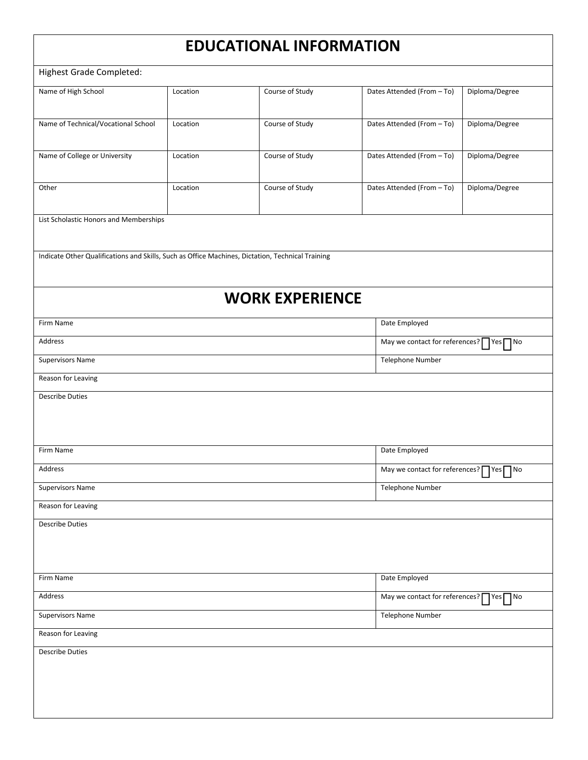## **EDUCATIONAL INFORMATION**

| Highest Grade Completed:                                                                         |                  |                                         |                            |                                                    |  |  |  |
|--------------------------------------------------------------------------------------------------|------------------|-----------------------------------------|----------------------------|----------------------------------------------------|--|--|--|
| Name of High School                                                                              | Location         | Course of Study                         | Dates Attended (From - To) | Diploma/Degree                                     |  |  |  |
|                                                                                                  |                  |                                         |                            |                                                    |  |  |  |
| Name of Technical/Vocational School                                                              | Location         | Course of Study                         | Dates Attended (From - To) | Diploma/Degree                                     |  |  |  |
|                                                                                                  |                  |                                         |                            |                                                    |  |  |  |
| Name of College or University                                                                    | Location         | Course of Study                         | Dates Attended (From - To) | Diploma/Degree                                     |  |  |  |
|                                                                                                  |                  |                                         |                            |                                                    |  |  |  |
| Other                                                                                            | Location         | Course of Study                         | Dates Attended (From - To) | Diploma/Degree                                     |  |  |  |
|                                                                                                  |                  |                                         |                            |                                                    |  |  |  |
|                                                                                                  |                  |                                         |                            |                                                    |  |  |  |
| List Scholastic Honors and Memberships                                                           |                  |                                         |                            |                                                    |  |  |  |
|                                                                                                  |                  |                                         |                            |                                                    |  |  |  |
| Indicate Other Qualifications and Skills, Such as Office Machines, Dictation, Technical Training |                  |                                         |                            |                                                    |  |  |  |
|                                                                                                  |                  |                                         |                            |                                                    |  |  |  |
|                                                                                                  |                  | <b>WORK EXPERIENCE</b>                  |                            |                                                    |  |  |  |
|                                                                                                  |                  |                                         |                            |                                                    |  |  |  |
| Firm Name                                                                                        |                  |                                         | Date Employed              |                                                    |  |  |  |
| Address                                                                                          |                  |                                         |                            | May we contact for references? PYes<br><b>T</b> No |  |  |  |
| Supervisors Name                                                                                 |                  |                                         | Telephone Number           |                                                    |  |  |  |
| Reason for Leaving                                                                               |                  |                                         |                            |                                                    |  |  |  |
| <b>Describe Duties</b>                                                                           |                  |                                         |                            |                                                    |  |  |  |
|                                                                                                  |                  |                                         |                            |                                                    |  |  |  |
|                                                                                                  |                  |                                         |                            |                                                    |  |  |  |
|                                                                                                  |                  |                                         |                            |                                                    |  |  |  |
| Firm Name                                                                                        | Date Employed    |                                         |                            |                                                    |  |  |  |
| Address                                                                                          |                  | May we contact for references? TYes TNo |                            |                                                    |  |  |  |
| Supervisors Name                                                                                 | Telephone Number |                                         |                            |                                                    |  |  |  |
| Reason for Leaving                                                                               |                  |                                         |                            |                                                    |  |  |  |
| <b>Describe Duties</b>                                                                           |                  |                                         |                            |                                                    |  |  |  |
|                                                                                                  |                  |                                         |                            |                                                    |  |  |  |
|                                                                                                  |                  |                                         |                            |                                                    |  |  |  |
|                                                                                                  |                  |                                         |                            |                                                    |  |  |  |
| Firm Name                                                                                        | Date Employed    |                                         |                            |                                                    |  |  |  |
| Address                                                                                          |                  | May we contact for references? TYes     |                            |                                                    |  |  |  |
| Supervisors Name                                                                                 | Telephone Number |                                         |                            |                                                    |  |  |  |
| Reason for Leaving                                                                               |                  |                                         |                            |                                                    |  |  |  |
| <b>Describe Duties</b>                                                                           |                  |                                         |                            |                                                    |  |  |  |
|                                                                                                  |                  |                                         |                            |                                                    |  |  |  |
|                                                                                                  |                  |                                         |                            |                                                    |  |  |  |
|                                                                                                  |                  |                                         |                            |                                                    |  |  |  |
|                                                                                                  |                  |                                         |                            |                                                    |  |  |  |